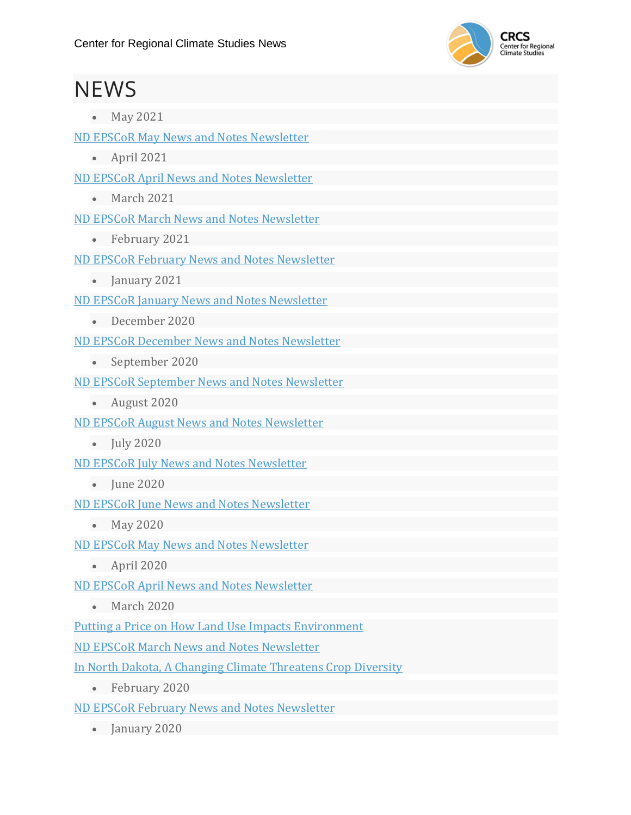

## **NEWS**

• May 2021

ND EPSCoR May News and Notes [Newsletter](https://www.ndepscor.ndus.edu/fileadmin/ndus/ndepscor/News_and_Notes_Newsletters/News_and_Notes_Newsletter_2021_May.pdf)

• April 2021

ND EPSCoR April News and Notes [Newsletter](https://www.ndepscor.ndus.edu/fileadmin/ndus/ndepscor/News_and_Notes_Newsletters/News_and_Notes_Newsletter_2021_April.pdf)

• March 2021

ND EPSCoR March News and Notes [Newsletter](https://www.ndepscor.ndus.edu/fileadmin/ndus/ndepscor/News_and_Notes_Newsletters/News_and_Notes_Newsletter_2021_April.pdf)

• February 2021

ND EPSCoR February News and Notes [Newsletter](https://www.ndepscor.ndus.edu/fileadmin/ndus/ndepscor/News_and_Notes_Newsletters/News_and_Notes_Newsletter_2021_March.pdf)

• January 2021

ND EPSCoR January News and Notes [Newsletter](https://www.ndepscor.ndus.edu/fileadmin/ndus/ndepscor/News_and_Notes_Newsletters/News_and_Notes_Newsletter_2021_February.pdf)

• December 2020

ND EPSCoR December News and Notes [Newsletter](https://www.ndepscor.ndus.edu/fileadmin/ndus/ndepscor/News_and_Notes_Newsletters/News_and_Notes_Newsletter_2020_December.pdf)

• September 2020

ND EPSCoR September News and Notes [Newsletter](https://www.ndepscor.ndus.edu/fileadmin/ndus/ndepscor/News_and_Notes_Newsletters/News_and_Notes_Newsletter_2020_September.pdf)

• August 2020

ND EPSCoR August News and Notes [Newsletter](https://www.ndepscor.ndus.edu/fileadmin/ndus/ndepscor/News_and_Notes_Newsletters/News_and_Notes_Newsletter_2020_August.pdf)

• July 2020

ND EPSCoR July News and Notes [Newsletter](https://www.ndepscor.ndus.edu/fileadmin/ndus/ndepscor/News_and_Notes_Newsletters/News_and_Notes_Newsletter_2020_July.pdf)

• June 2020

ND EPSCoR June News and Notes [Newsletter](https://www.ndepscor.ndus.edu/fileadmin/ndus/ndepscor/News_and_Notes_Newsletters/News_and_Notes_Newsletter_2020_June.pdf)

• May 2020

ND EPSCoR May News and Notes [Newsletter](https://www.ndepscor.ndus.edu/fileadmin/ndus/ndepscor/News_and_Notes_Newsletters/News_and_Notes_Newsletter_2020_May.pdf)

• April 2020

ND EPSCoR April News and Notes [Newsletter](https://www.ndepscor.ndus.edu/fileadmin/ndus/ndepscor/News_and_Notes_Newsletters/News_and_Notes_Newsletter_2020_April.pdf)

• March 2020

Putting a Price on How Land Use Impacts [Environment](http://blogs.und.edu/und-today/2020/03/putting-a-price-on-how-land-use-impacts-environment/)

ND EPSCoR March News and Notes [Newsletter](https://www.ndepscor.ndus.edu/fileadmin/ndus/ndepscor/News_and_Notes_Newsletters/News_and_Notes_Newsletter_2020_March.pdf)

In North Dakota, A Changing Climate [Threatens](https://www.kcur.org/post/north-dakota-changing-climate-threatens-crop-diversity#stream/0) Crop Diversity

• February 2020

ND EPSCoR February News and Notes [Newsletter](https://www.ndepscor.ndus.edu/fileadmin/ndus/ndepscor/News_and_Notes_Newsletters/News_and_Notes_Newsletter_February_20.pdf)

• January 2020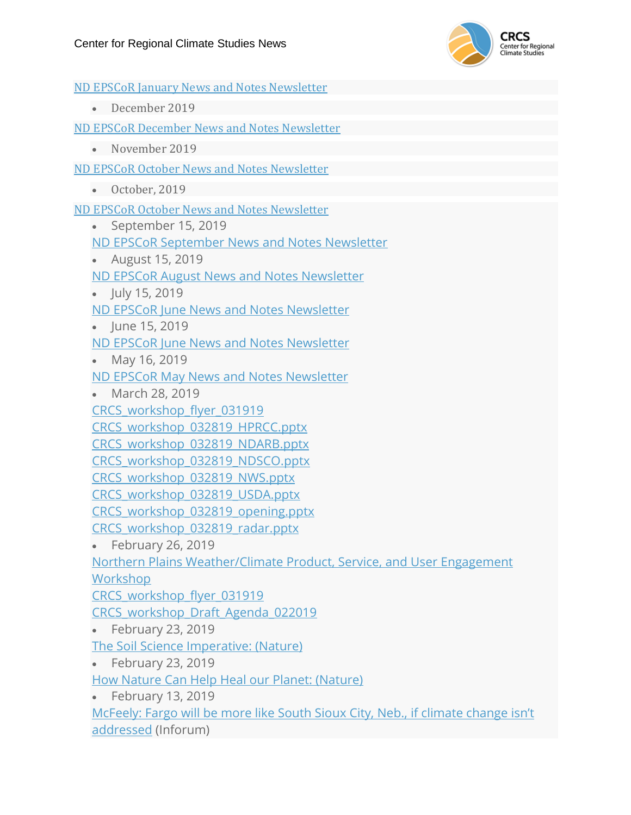

ND EPSCoR January News and Notes [Newsletter](https://www.ndepscor.ndus.edu/fileadmin/ndus/ndepscor/News_and_Notes_Newsletters/News_and_Notes_Newsletter_January_20.pdf) • December 2019 ND EPSCoR December News and Notes [Newsletter](https://www.ndepscor.ndus.edu/fileadmin/ndus/ndepscor/News_and_Notes_Newsletters/News_and_Notes_Newsletter_December_19.pdf) • November 2019 ND EPSCoR October News and Notes [Newsletter](https://www.ndepscor.ndus.edu/fileadmin/ndus/ndepscor/News_and_Notes_Newsletters/News_and_Notes_Newsletter_November_19.pdf) • October, 2019 ND EPSCoR October News and Notes [Newsletter](https://www.ndepscor.ndus.edu/fileadmin/ndus/ndepscor/News_and_Notes_Newsletters/News_and_Notes_Newsletter_October_19.pdf) • September 15, 2019 ND EPSCoR [September](https://www.ndepscor.ndus.edu/fileadmin/ndus/ndepscor/News_and_Notes_Newsletters/News_and_Notes_Newsletter_September_2019.pdf) News and Notes Newsletter • August 15, 2019 ND EPSCoR August News and Notes [Newsletter](https://www.ndepscor.ndus.edu/fileadmin/ndus/ndepscor/News_and_Notes_Newsletters/News_and_Notes_Newsletter_August_19.pdf) • July 15, 2019 ND EPSCoR June News and Notes [Newsletter](https://www.ndepscor.ndus.edu/fileadmin/ndus/ndepscor/News_and_Notes_Newsletters/News_and_Notes_Newsletter_July_19.pdf) • June 15, 2019 ND EPSCoR June News and Notes [Newsletter](https://www.ndepscor.ndus.edu/fileadmin/ndus/ndepscor/News_and_Notes_Newsletters/News_and_Notes_Newsletter_June_19.pdf) • May 16, 2019 ND EPSCoR May News and Notes [Newsletter](https://www.ndepscor.ndus.edu/fileadmin/ndus/ndepscor/News_and_Notes_Newsletters/News_and_Notes_Newsletter_May_19.pdf) • March 28, 2019 [CRCS\\_workshop\\_flyer\\_031919](https://und-crcs.org/wp-content/uploads/2019/03/CRCS_workshop_flyer_031919.pdf) [CRCS\\_workshop\\_032819\\_HPRCC.pptx](http://kennedy.atmos.und.edu/CRCS/2019_Workshop/CRCS_workshop_032819_HPRCC.pptx) [CRCS\\_workshop\\_032819\\_NDARB.pptx](http://kennedy.atmos.und.edu/CRCS/2019_Workshop/CRCS_workshop_032819_NDARB.pptx) [CRCS\\_workshop\\_032819\\_NDSCO.pptx](http://kennedy.atmos.und.edu/CRCS/2019_Workshop/CRCS_workshop_032819_NDSCO.pptx) [CRCS\\_workshop\\_032819\\_NWS.pptx](http://kennedy.atmos.und.edu/CRCS/2019_Workshop/CRCS_workshop_032819_NWS.pptx) [CRCS\\_workshop\\_032819\\_USDA.pptx](http://kennedy.atmos.und.edu/CRCS/2019_Workshop/CRCS_workshop_032819_USDA.pptx) [CRCS\\_workshop\\_032819\\_opening.pptx](http://kennedy.atmos.und.edu/CRCS/2019_Workshop/CRCS_workshop_032819_opening.pptx) [CRCS\\_workshop\\_032819\\_radar.pptx](http://kennedy.atmos.und.edu/CRCS/2019_Workshop/CRCS_workshop_032819_radar.pptx) • February 26, 2019 Northern Plains [Weather/Climate](https://und-crcs.org/2019/02/26/northern-plains-weather-climate-product-service-and-user-engagement-workshop/) Product, Service, and User Engagement **[Workshop](https://und-crcs.org/2019/02/26/northern-plains-weather-climate-product-service-and-user-engagement-workshop/)** [CRCS\\_workshop\\_flyer\\_031919](https://und-crcs.org/wp-content/uploads/2019/03/CRCS_workshop_flyer_031919.pdf) [CRCS\\_workshop\\_Draft\\_Agenda\\_022019](https://und-crcs.org/wp-content/uploads/2019/02/CRCS_workshop_Draft_Agenda_022019.docx) • February 23, 2019 The Soil Science Imperative: (Nature) • February 23, 2019 How Nature Can Help Heal our Planet: [\(Nature\)](https://www.nature.org/en-us/what-we-do/our-priorities/tackle-climate-change/climate-change-stories/how-nature-can-help-heal-our-planet/) • February 13, 2019 [McFeely:](https://www.inforum.com/opinion/columns/969495-McFeely-Fargo-will-be-more-like-South-Sioux-City-Neb.-if-climate-change-isnt-addressed) Fargo will be more like South Sioux City, Neb., if climate change isn't [addressed](https://www.inforum.com/opinion/columns/969495-McFeely-Fargo-will-be-more-like-South-Sioux-City-Neb.-if-climate-change-isnt-addressed) (Inforum)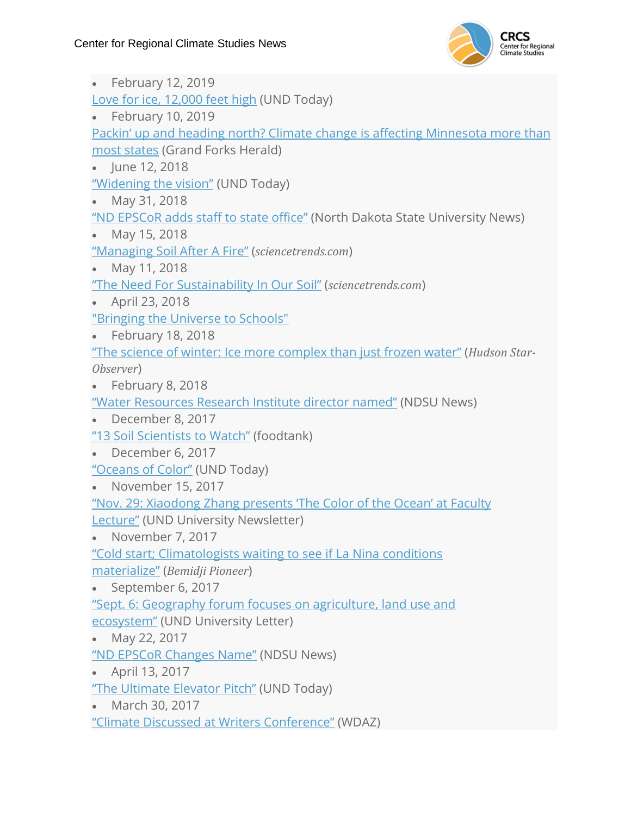

• February 12, 2019 Love for ice, [12,000](http://blogs.und.edu/und-today/2019/02/love-for-ice-12000-feet-high/) feet high (UND Today) • February 10, 2019 Packin' up and heading north? Climate change is affecting [Minnesota](https://www.grandforksherald.com/news/weather/4569311-packin-and-heading-north-climate-change-affecting-minnesota-more-most-states) more than most [states](https://www.grandforksherald.com/news/weather/4569311-packin-and-heading-north-climate-change-affecting-minnesota-more-most-states) (Grand Forks Herald) • June 12, 2018 ["Widening](http://blogs.und.edu/und-today/2018/06/widening-the-vision/) the vision" (UND Today) • May 31, 2018 "ND [EPSCoR](https://www.ndsu.edu/news/view/detail/33846/) adds staff to state office" (North Dakota State University News) • May 15, 2018 ["Managing](https://sciencetrends.com/the-need-for-sustainability-in-our-soil/) Soil After A Fire" (*sciencetrends.com*) • May 11, 2018 "The Need For [Sustainability](https://sciencetrends.com/the-need-for-sustainability-in-our-soil/) In Our Soil" (*sciencetrends.com*) • April 23, 2018 ["Bringing](https://und-crcs.org/2018/04/23/bringing-the-universe-to-schools/) the Universe to Schools" • February 18, 2018 "The science of winter: Ice more [complex](http://www.hudsonstarobserver.com/news/science-and-nature/4404617-science-winter-ice-more-complex-just-frozen-water) than just frozen water" (*Hudson Star-Observer*) • February 8, 2018 "Water [Resources](https://www.ndsu.edu/news/view/detail/32509/) Research Institute director named" (NDSU News) • December 8, 2017 "13 Soil [Scientists](https://foodtank.com/news/2017/12/sustainable-soil-scientists/) to Watch" (foodtank) • December 6, 2017 ["Oceans](http://blogs.und.edu/und-today/2017/12/oceans-of-color/) of Color" (UND Today) • November 15, 2017 "Nov. 29: [Xiaodong](http://blogs.und.edu/uletter/2017/11/nov-29-xiaodong-zhang-offers-next-faculty-lecture-series-presentation/) Zhang presents 'The Color of the Ocean' at Faculty **[Lecture"](http://blogs.und.edu/uletter/2017/11/nov-29-xiaodong-zhang-offers-next-faculty-lecture-series-presentation/)** (UND University Newsletter) • November 7, 2017 "Cold start; [Climatologists](http://www.bemidjipioneer.com/news/4355392-cold-start-climatologists-waiting-see-if-la-nina-conditions-materialize) waiting to see if La Nina conditions [materialize"](http://www.bemidjipioneer.com/news/4355392-cold-start-climatologists-waiting-see-if-la-nina-conditions-materialize) (*Bemidji Pioneer*) • September 6, 2017 "Sept. 6: Geography forum focuses on [agriculture,](http://blogs.und.edu/uletter/2017/08/sept-6-geography-forum-focuses-on-agriculture-land-use-and-ecosystem/) land use and [ecosystem"](http://blogs.und.edu/uletter/2017/08/sept-6-geography-forum-focuses-on-agriculture-land-use-and-ecosystem/) (UND University Letter) • May 22, 2017 "ND EPSCoR [Changes](https://www.ndsu.edu/news/view/detail/29155/) Name" (NDSU News) • April 13, 2017 "The [Ultimate](http://blogs.und.edu/und-today/2017/04/the-ultimate-elevator-pitch/) Elevator Pitch" (UND Today) • March 30, 2017 "Climate Discussed at Writers [Conference"](http://www.wdaz.com/news/north-dakota/4242652-climate-discussed-writers-conference) (WDAZ)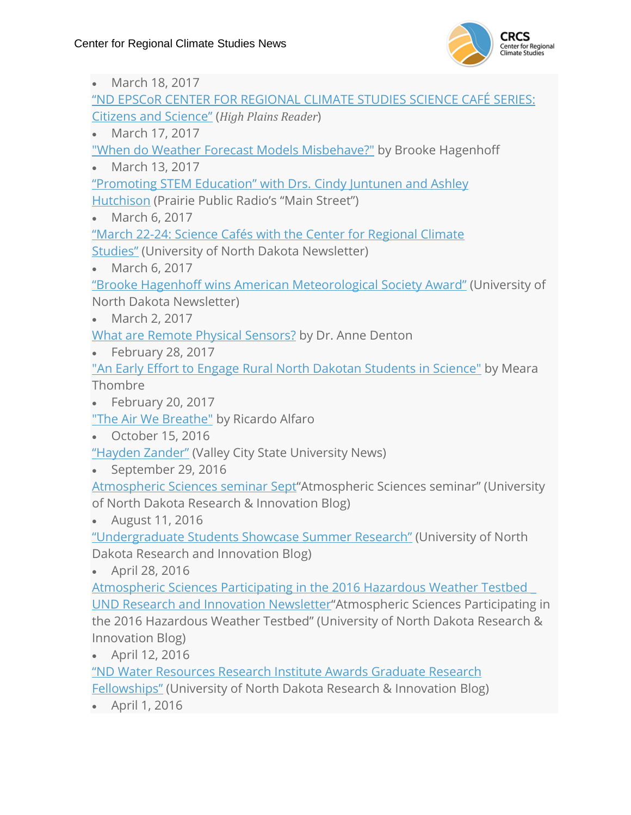

| March 18, 2017                                                                           |
|------------------------------------------------------------------------------------------|
| <u>"ND EPSCoR CENTER FOR REGIONAL CLIMATE STUDIES SCIENCE CAFÉ SERIES:</u>               |
| <b>Citizens and Science"</b> (High Plains Reader)                                        |
| March 17, 2017                                                                           |
| "When do Weather Forecast Models Misbehave?" by Brooke Hagenhoff                         |
| March 13, 2017                                                                           |
| "Promoting STEM Education" with Drs. Cindy Juntunen and Ashley                           |
| Hutchison (Prairie Public Radio's "Main Street")                                         |
| March 6, 2017                                                                            |
| "March 22-24: Science Cafés with the Center for Regional Climate                         |
| <b>Studies"</b> (University of North Dakota Newsletter)                                  |
| March 6, 2017                                                                            |
| "Brooke Hagenhoff wins American Meteorological Society Award" (University of             |
| North Dakota Newsletter)                                                                 |
| March 2, 2017                                                                            |
| What are Remote Physical Sensors? by Dr. Anne Denton                                     |
| February 28, 2017<br>$\bullet$                                                           |
| "An Early Effort to Engage Rural North Dakotan Students in Science" by Meara             |
| Thombre                                                                                  |
| February 20, 2017                                                                        |
| "The Air We Breathe" by Ricardo Alfaro                                                   |
| October 15, 2016                                                                         |
| "Hayden Zander" (Valley City State University News)                                      |
| September 29, 2016<br>$\bullet$                                                          |
| Atmospheric Sciences seminar Sept <sup>"</sup> Atmospheric Sciences seminar" (University |
| of North Dakota Research & Innovation Blog)                                              |
| August 11, 2016                                                                          |
| "Undergraduate Students Showcase Summer Research" (University of North                   |
| Dakota Research and Innovation Blog)                                                     |
| April 28, 2016                                                                           |
| Atmospheric Sciences Participating in the 2016 Hazardous Weather Testbed                 |
| UND Research and Innovation Newsletter"Atmospheric Sciences Participating in             |
| the 2016 Hazardous Weather Testbed" (University of North Dakota Research &               |
| Innovation Blog)                                                                         |
| April 12, 2016                                                                           |
| "ND Water Resources Research Institute Awards Graduate Research                          |
| <b>Fellowships"</b> (University of North Dakota Research & Innovation Blog)              |
| April 1, 2016                                                                            |
|                                                                                          |